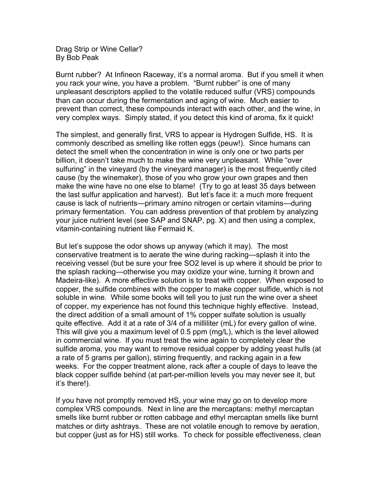Drag Strip or Wine Cellar? By Bob Peak

Burnt rubber? At Infineon Raceway, it's a normal aroma. But if you smell it when you rack your wine, you have a problem. "Burnt rubber" is one of many unpleasant descriptors applied to the volatile reduced sulfur (VRS) compounds than can occur during the fermentation and aging of wine. Much easier to prevent than correct, these compounds interact with each other, and the wine, in very complex ways. Simply stated, if you detect this kind of aroma, fix it quick!

The simplest, and generally first, VRS to appear is Hydrogen Sulfide, HS. It is commonly described as smelling like rotten eggs (peuw!). Since humans can detect the smell when the concentration in wine is only one or two parts per billion, it doesn't take much to make the wine very unpleasant. While "over sulfuring" in the vineyard (by the vineyard manager) is the most frequently cited cause (by the winemaker), those of you who grow your own grapes and then make the wine have no one else to blame! (Try to go at least 35 days between the last sulfur application and harvest). But let's face it: a much more frequent cause is lack of nutrients—primary amino nitrogen or certain vitamins—during primary fermentation. You can address prevention of that problem by analyzing your juice nutrient level (see SAP and SNAP, pg. X) and then using a complex, vitamin-containing nutrient like Fermaid K.

But let's suppose the odor shows up anyway (which it may). The most conservative treatment is to aerate the wine during racking—splash it into the receiving vessel (but be sure your free SO2 level is up where it should be prior to the splash racking—otherwise you may oxidize your wine, turning it brown and Madeira-like). A more effective solution is to treat with copper. When exposed to copper, the sulfide combines with the copper to make copper sulfide, which is not soluble in wine. While some books will tell you to just run the wine over a sheet of copper, my experience has not found this technique highly effective. Instead, the direct addition of a small amount of 1% copper sulfate solution is usually quite effective. Add it at a rate of 3/4 of a milliliter (mL) for every gallon of wine. This will give you a maximum level of 0.5 ppm (mg/L), which is the level allowed in commercial wine. If you must treat the wine again to completely clear the sulfide aroma, you may want to remove residual copper by adding yeast hulls (at a rate of 5 grams per gallon), stirring frequently, and racking again in a few weeks. For the copper treatment alone, rack after a couple of days to leave the black copper sulfide behind (at part-per-million levels you may never see it, but it's there!).

If you have not promptly removed HS, your wine may go on to develop more complex VRS compounds. Next in line are the mercaptans: methyl mercaptan smells like burnt rubber or rotten cabbage and ethyl mercaptan smells like burnt matches or dirty ashtrays. These are not volatile enough to remove by aeration, but copper (just as for HS) still works. To check for possible effectiveness, clean